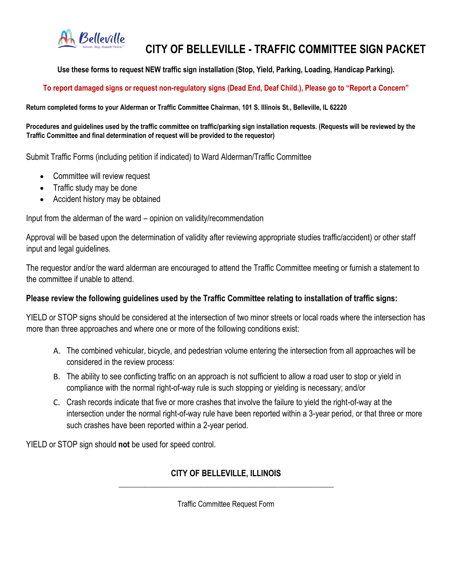

# **CITY OF BELLEVILLE - TRAFFIC COMMITTEE SIGN PACKET**

**Use these forms to request NEW traffic sign installation (Stop, Yield, Parking, Loading, Handicap Parking).**

## **To report damaged signs or request non-regulatory signs (Dead End, Deaf Child.), Please go to "Report a Concern"**

**Return completed forms to your Alderman or Traffic Committee Chairman, 101 S. Illinois St., Belleville, IL 62220**

**Procedures and guidelines used by the traffic committee on traffic/parking sign installation requests. (Requests will be reviewed by the Traffic Committee and final determination of request will be provided to the requestor)**

Submit Traffic Forms (including petition if indicated) to Ward Alderman/Traffic Committee

- Committee will review request
- Traffic study may be done
- Accident history may be obtained

Input from the alderman of the ward – opinion on validity/recommendation

Approval will be based upon the determination of validity after reviewing appropriate studies traffic/accident) or other staff input and legal guidelines.

The requestor and/or the ward alderman are encouraged to attend the Traffic Committee meeting or furnish a statement to the committee if unable to attend.

#### **Please review the following guidelines used by the Traffic Committee relating to installation of traffic signs:**

YIELD or STOP signs should be considered at the intersection of two minor streets or local roads where the intersection has more than three approaches and where one or more of the following conditions exist:

- A. The combined vehicular, bicycle, and pedestrian volume entering the intersection from all approaches will be considered in the review process:
- B. The ability to see conflicting traffic on an approach is not sufficient to allow a road user to stop or yield in compliance with the normal right-of-way rule is such stopping or yielding is necessary; and/or
- C. Crash records indicate that five or more crashes that involve the failure to yield the right-of-way at the intersection under the normal right-of-way rule have been reported within a 3-year period, or that three or more such crashes have been reported within a 2-year period.

YIELD or STOP sign should **not** be used for speed control.

### **CITY OF BELLEVILLE, ILLINOIS \_\_\_\_\_\_\_\_\_\_\_\_\_\_\_\_\_\_\_\_\_\_\_\_\_\_\_\_\_\_\_\_\_\_\_\_\_\_\_\_\_\_\_\_\_\_\_\_\_\_\_\_\_\_\_\_\_\_**

Traffic Committee Request Form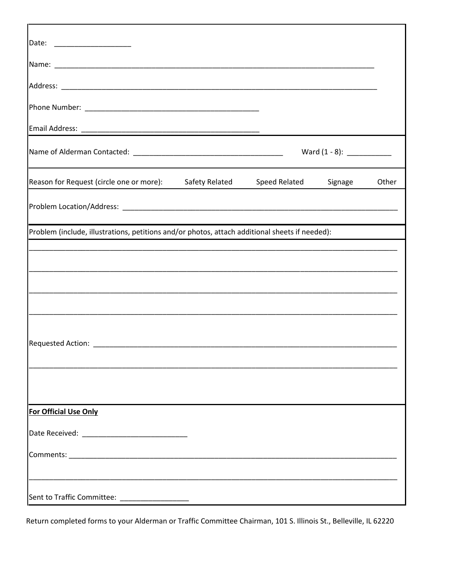| Reason for Request (circle one or more): Safety Related Speed Related Signage                                                                                                                                                  |  |  | Other |  |
|--------------------------------------------------------------------------------------------------------------------------------------------------------------------------------------------------------------------------------|--|--|-------|--|
|                                                                                                                                                                                                                                |  |  |       |  |
| Problem (include, illustrations, petitions and/or photos, attach additional sheets if needed):                                                                                                                                 |  |  |       |  |
|                                                                                                                                                                                                                                |  |  |       |  |
|                                                                                                                                                                                                                                |  |  |       |  |
|                                                                                                                                                                                                                                |  |  |       |  |
|                                                                                                                                                                                                                                |  |  |       |  |
| Requested Action: National Action of the Contract of the Contract of the Contract of the Contract of the Contract of the Contract of the Contract of the Contract of the Contract of the Contract of the Contract of the Contr |  |  |       |  |
|                                                                                                                                                                                                                                |  |  |       |  |
|                                                                                                                                                                                                                                |  |  |       |  |
|                                                                                                                                                                                                                                |  |  |       |  |
| For Official Use Only                                                                                                                                                                                                          |  |  |       |  |
|                                                                                                                                                                                                                                |  |  |       |  |
|                                                                                                                                                                                                                                |  |  |       |  |
|                                                                                                                                                                                                                                |  |  |       |  |
| Sent to Traffic Committee: _____________________                                                                                                                                                                               |  |  |       |  |

Return completed forms to your Alderman or Traffic Committee Chairman, 101 S. Illinois St., Belleville, IL 62220